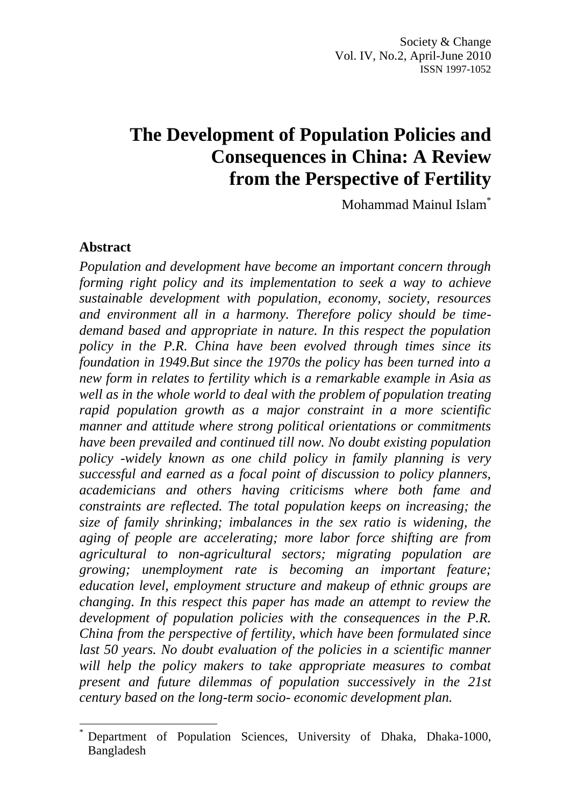# **The Development of Population Policies and Consequences in China: A Review from the Perspective of Fertility**

Mohammad Mainul Islam\*

#### **Abstract**

 $\ddot{\phantom{a}}$ 

*Population and development have become an important concern through forming right policy and its implementation to seek a way to achieve sustainable development with population, economy, society, resources and environment all in a harmony. Therefore policy should be timedemand based and appropriate in nature. In this respect the population policy in the P.R. China have been evolved through times since its foundation in 1949.But since the 1970s the policy has been turned into a new form in relates to fertility which is a remarkable example in Asia as well as in the whole world to deal with the problem of population treating rapid population growth as a major constraint in a more scientific manner and attitude where strong political orientations or commitments have been prevailed and continued till now. No doubt existing population policy -widely known as one child policy in family planning is very successful and earned as a focal point of discussion to policy planners, academicians and others having criticisms where both fame and constraints are reflected. The total population keeps on increasing; the size of family shrinking; imbalances in the sex ratio is widening, the aging of people are accelerating; more labor force shifting are from agricultural to non-agricultural sectors; migrating population are growing; unemployment rate is becoming an important feature; education level, employment structure and makeup of ethnic groups are changing. In this respect this paper has made an attempt to review the development of population policies with the consequences in the P.R. China from the perspective of fertility, which have been formulated since*  last 50 years. No doubt evaluation of the policies in a scientific manner *will help the policy makers to take appropriate measures to combat present and future dilemmas of population successively in the 21st century based on the long-term socio- economic development plan.*

Department of Population Sciences, University of Dhaka, Dhaka-1000, Bangladesh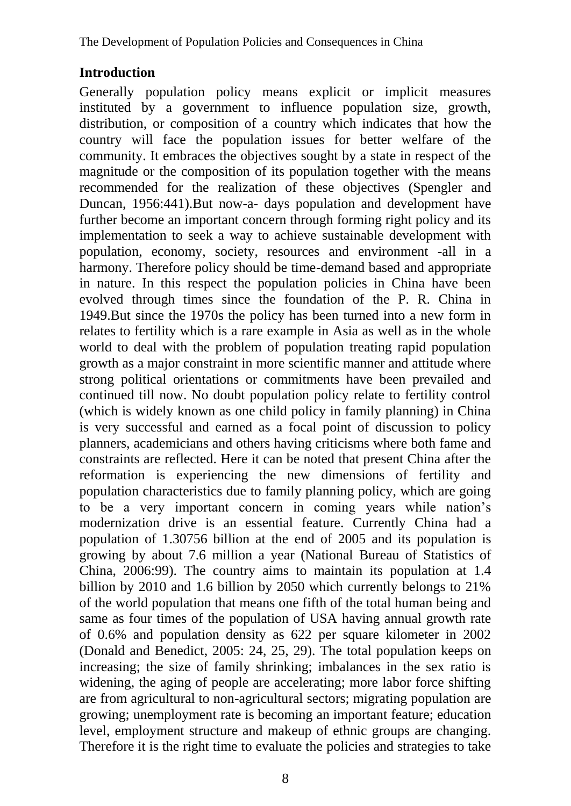## **Introduction**

Generally population policy means explicit or implicit measures instituted by a government to influence population size, growth, distribution, or composition of a country which indicates that how the country will face the population issues for better welfare of the community. It embraces the objectives sought by a state in respect of the magnitude or the composition of its population together with the means recommended for the realization of these objectives (Spengler and Duncan, 1956:441).But now-a- days population and development have further become an important concern through forming right policy and its implementation to seek a way to achieve sustainable development with population, economy, society, resources and environment -all in a harmony. Therefore policy should be time-demand based and appropriate in nature. In this respect the population policies in China have been evolved through times since the foundation of the P. R. China in 1949.But since the 1970s the policy has been turned into a new form in relates to fertility which is a rare example in Asia as well as in the whole world to deal with the problem of population treating rapid population growth as a major constraint in more scientific manner and attitude where strong political orientations or commitments have been prevailed and continued till now. No doubt population policy relate to fertility control (which is widely known as one child policy in family planning) in China is very successful and earned as a focal point of discussion to policy planners, academicians and others having criticisms where both fame and constraints are reflected. Here it can be noted that present China after the reformation is experiencing the new dimensions of fertility and population characteristics due to family planning policy, which are going to be a very important concern in coming years while nation"s modernization drive is an essential feature. Currently China had a population of 1.30756 billion at the end of 2005 and its population is growing by about 7.6 million a year (National Bureau of Statistics of China, 2006:99). The country aims to maintain its population at 1.4 billion by 2010 and 1.6 billion by 2050 which currently belongs to 21% of the world population that means one fifth of the total human being and same as four times of the population of USA having annual growth rate of 0.6% and population density as 622 per square kilometer in 2002 (Donald and Benedict, 2005: 24, 25, 29). The total population keeps on increasing; the size of family shrinking; imbalances in the sex ratio is widening, the aging of people are accelerating; more labor force shifting are from agricultural to non-agricultural sectors; migrating population are growing; unemployment rate is becoming an important feature; education level, employment structure and makeup of ethnic groups are changing. Therefore it is the right time to evaluate the policies and strategies to take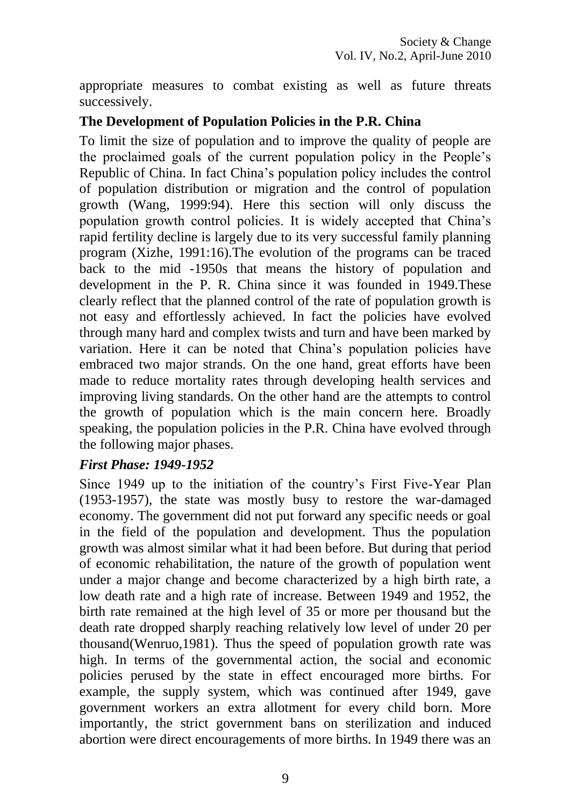appropriate measures to combat existing as well as future threats successively.

### **The Development of Population Policies in the P.R. China**

To limit the size of population and to improve the quality of people are the proclaimed goals of the current population policy in the People"s Republic of China. In fact China"s population policy includes the control of population distribution or migration and the control of population growth (Wang, 1999:94). Here this section will only discuss the population growth control policies. It is widely accepted that China"s rapid fertility decline is largely due to its very successful family planning program (Xizhe, 1991:16).The evolution of the programs can be traced back to the mid -1950s that means the history of population and development in the P. R. China since it was founded in 1949.These clearly reflect that the planned control of the rate of population growth is not easy and effortlessly achieved. In fact the policies have evolved through many hard and complex twists and turn and have been marked by variation. Here it can be noted that China"s population policies have embraced two major strands. On the one hand, great efforts have been made to reduce mortality rates through developing health services and improving living standards. On the other hand are the attempts to control the growth of population which is the main concern here. Broadly speaking, the population policies in the P.R. China have evolved through the following major phases.

#### *First Phase: 1949-1952*

Since 1949 up to the initiation of the country"s First Five-Year Plan (1953-1957), the state was mostly busy to restore the war-damaged economy. The government did not put forward any specific needs or goal in the field of the population and development. Thus the population growth was almost similar what it had been before. But during that period of economic rehabilitation, the nature of the growth of population went under a major change and become characterized by a high birth rate, a low death rate and a high rate of increase. Between 1949 and 1952, the birth rate remained at the high level of 35 or more per thousand but the death rate dropped sharply reaching relatively low level of under 20 per thousand(Wenruo,1981). Thus the speed of population growth rate was high. In terms of the governmental action, the social and economic policies perused by the state in effect encouraged more births. For example, the supply system, which was continued after 1949, gave government workers an extra allotment for every child born. More importantly, the strict government bans on sterilization and induced abortion were direct encouragements of more births. In 1949 there was an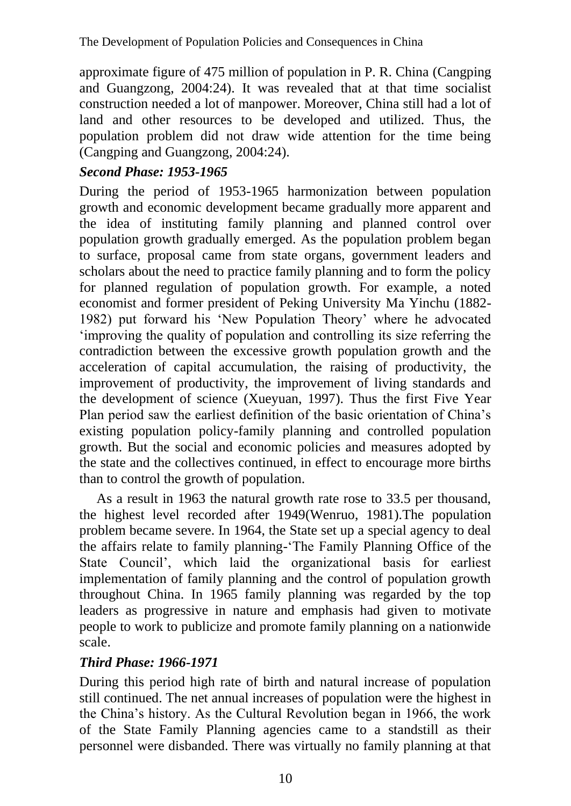approximate figure of 475 million of population in P. R. China (Cangping and Guangzong, 2004:24). It was revealed that at that time socialist construction needed a lot of manpower. Moreover, China still had a lot of land and other resources to be developed and utilized. Thus, the population problem did not draw wide attention for the time being (Cangping and Guangzong, 2004:24).

# *Second Phase: 1953-1965*

During the period of 1953-1965 harmonization between population growth and economic development became gradually more apparent and the idea of instituting family planning and planned control over population growth gradually emerged. As the population problem began to surface, proposal came from state organs, government leaders and scholars about the need to practice family planning and to form the policy for planned regulation of population growth. For example, a noted economist and former president of Peking University Ma Yinchu (1882- 1982) put forward his "New Population Theory" where he advocated "improving the quality of population and controlling its size referring the contradiction between the excessive growth population growth and the acceleration of capital accumulation, the raising of productivity, the improvement of productivity, the improvement of living standards and the development of science (Xueyuan, 1997). Thus the first Five Year Plan period saw the earliest definition of the basic orientation of China"s existing population policy-family planning and controlled population growth. But the social and economic policies and measures adopted by the state and the collectives continued, in effect to encourage more births than to control the growth of population.

As a result in 1963 the natural growth rate rose to 33.5 per thousand, the highest level recorded after 1949(Wenruo, 1981).The population problem became severe. In 1964, the State set up a special agency to deal the affairs relate to family planning-"The Family Planning Office of the State Council", which laid the organizational basis for earliest implementation of family planning and the control of population growth throughout China. In 1965 family planning was regarded by the top leaders as progressive in nature and emphasis had given to motivate people to work to publicize and promote family planning on a nationwide scale.

# *Third Phase: 1966-1971*

During this period high rate of birth and natural increase of population still continued. The net annual increases of population were the highest in the China"s history. As the Cultural Revolution began in 1966, the work of the State Family Planning agencies came to a standstill as their personnel were disbanded. There was virtually no family planning at that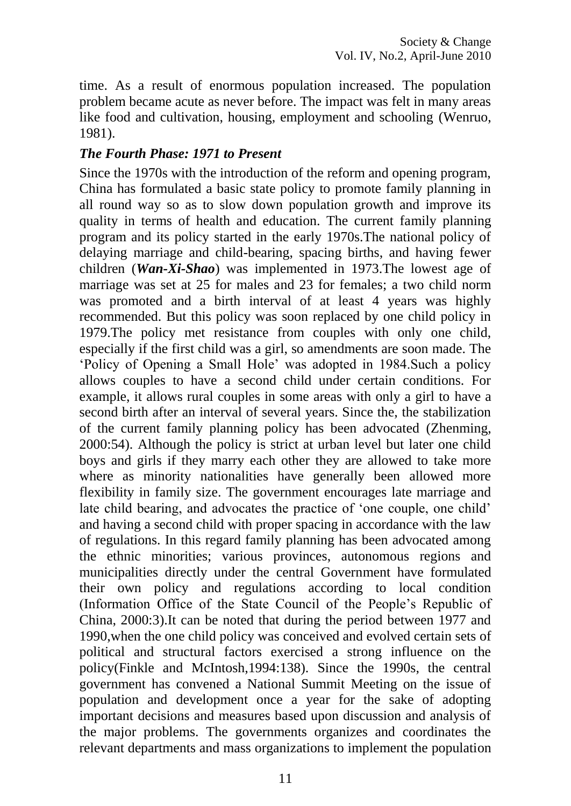time. As a result of enormous population increased. The population problem became acute as never before. The impact was felt in many areas like food and cultivation, housing, employment and schooling (Wenruo, 1981).

### *The Fourth Phase: 1971 to Present*

Since the 1970s with the introduction of the reform and opening program, China has formulated a basic state policy to promote family planning in all round way so as to slow down population growth and improve its quality in terms of health and education. The current family planning program and its policy started in the early 1970s.The national policy of delaying marriage and child-bearing, spacing births, and having fewer children (*Wan-Xi-Shao*) was implemented in 1973.The lowest age of marriage was set at 25 for males and 23 for females; a two child norm was promoted and a birth interval of at least 4 years was highly recommended. But this policy was soon replaced by one child policy in 1979.The policy met resistance from couples with only one child, especially if the first child was a girl, so amendments are soon made. The "Policy of Opening a Small Hole" was adopted in 1984.Such a policy allows couples to have a second child under certain conditions. For example, it allows rural couples in some areas with only a girl to have a second birth after an interval of several years. Since the, the stabilization of the current family planning policy has been advocated (Zhenming, 2000:54). Although the policy is strict at urban level but later one child boys and girls if they marry each other they are allowed to take more where as minority nationalities have generally been allowed more flexibility in family size. The government encourages late marriage and late child bearing, and advocates the practice of "one couple, one child" and having a second child with proper spacing in accordance with the law of regulations. In this regard family planning has been advocated among the ethnic minorities; various provinces, autonomous regions and municipalities directly under the central Government have formulated their own policy and regulations according to local condition (Information Office of the State Council of the People"s Republic of China, 2000:3).It can be noted that during the period between 1977 and 1990,when the one child policy was conceived and evolved certain sets of political and structural factors exercised a strong influence on the policy(Finkle and McIntosh,1994:138). Since the 1990s, the central government has convened a National Summit Meeting on the issue of population and development once a year for the sake of adopting important decisions and measures based upon discussion and analysis of the major problems. The governments organizes and coordinates the relevant departments and mass organizations to implement the population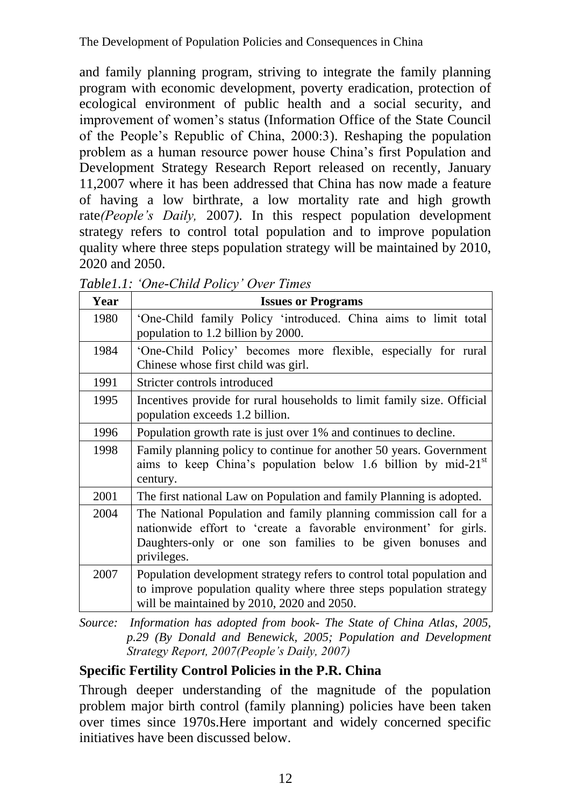and family planning program, striving to integrate the family planning program with economic development, poverty eradication, protection of ecological environment of public health and a social security, and improvement of women"s status (Information Office of the State Council of the People"s Republic of China, 2000:3). Reshaping the population problem as a human resource power house China"s first Population and Development Strategy Research Report released on recently, January 11,2007 where it has been addressed that China has now made a feature of having a low birthrate, a low mortality rate and high growth rate*(People"s Daily,* 2007*)*. In this respect population development strategy refers to control total population and to improve population quality where three steps population strategy will be maintained by 2010, 2020 and 2050.

| Year | <b>Issues or Programs</b>                                                                                                                                                                                          |  |  |  |  |
|------|--------------------------------------------------------------------------------------------------------------------------------------------------------------------------------------------------------------------|--|--|--|--|
| 1980 | 'One-Child family Policy 'introduced. China aims to limit total<br>population to 1.2 billion by 2000.                                                                                                              |  |  |  |  |
| 1984 | 'One-Child Policy' becomes more flexible, especially for rural<br>Chinese whose first child was girl.                                                                                                              |  |  |  |  |
| 1991 | Stricter controls introduced                                                                                                                                                                                       |  |  |  |  |
| 1995 | Incentives provide for rural households to limit family size. Official<br>population exceeds 1.2 billion.                                                                                                          |  |  |  |  |
| 1996 | Population growth rate is just over 1% and continues to decline.                                                                                                                                                   |  |  |  |  |
| 1998 | Family planning policy to continue for another 50 years. Government<br>aims to keep China's population below 1.6 billion by mid-21 $^{\rm st}$<br>century.                                                         |  |  |  |  |
| 2001 | The first national Law on Population and family Planning is adopted.                                                                                                                                               |  |  |  |  |
| 2004 | The National Population and family planning commission call for a<br>nationwide effort to 'create a favorable environment' for girls.<br>Daughters-only or one son families to be given bonuses and<br>privileges. |  |  |  |  |
| 2007 | Population development strategy refers to control total population and<br>to improve population quality where three steps population strategy<br>will be maintained by 2010, 2020 and 2050.                        |  |  |  |  |

*Table1.1: "One-Child Policy" Over Times*

*Source: Information has adopted from book- The State of China Atlas, 2005, p.29 (By Donald and Benewick, 2005; Population and Development Strategy Report, 2007(People"s Daily, 2007)*

# **Specific Fertility Control Policies in the P.R. China**

Through deeper understanding of the magnitude of the population problem major birth control (family planning) policies have been taken over times since 1970s.Here important and widely concerned specific initiatives have been discussed below.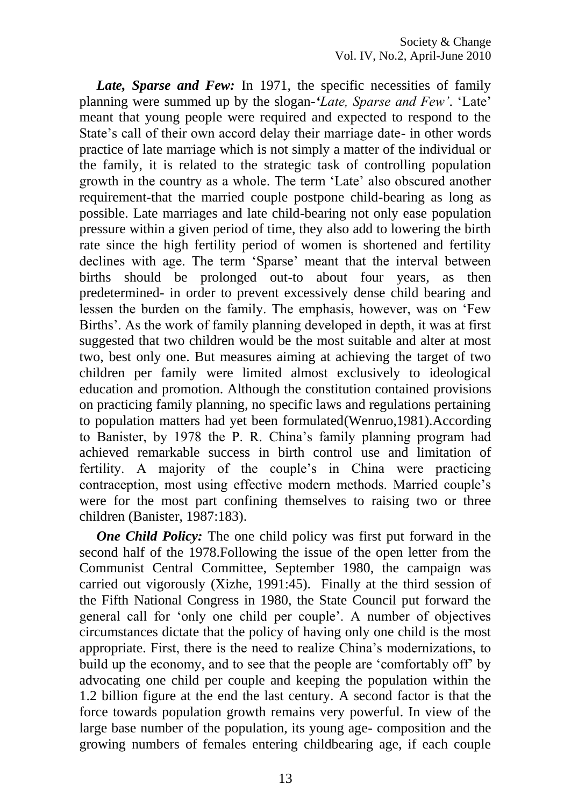Late, Sparse and Few: In 1971, the specific necessities of family planning were summed up by the slogan-*'Late, Sparse and Few"*. "Late" meant that young people were required and expected to respond to the State's call of their own accord delay their marriage date- in other words practice of late marriage which is not simply a matter of the individual or the family, it is related to the strategic task of controlling population growth in the country as a whole. The term "Late" also obscured another requirement-that the married couple postpone child-bearing as long as possible. Late marriages and late child-bearing not only ease population pressure within a given period of time, they also add to lowering the birth rate since the high fertility period of women is shortened and fertility declines with age. The term 'Sparse' meant that the interval between births should be prolonged out-to about four years, as then predetermined- in order to prevent excessively dense child bearing and lessen the burden on the family. The emphasis, however, was on "Few Births'. As the work of family planning developed in depth, it was at first suggested that two children would be the most suitable and alter at most two, best only one. But measures aiming at achieving the target of two children per family were limited almost exclusively to ideological education and promotion. Although the constitution contained provisions on practicing family planning, no specific laws and regulations pertaining to population matters had yet been formulated(Wenruo,1981).According to Banister, by 1978 the P. R. China"s family planning program had achieved remarkable success in birth control use and limitation of fertility. A majority of the couple's in China were practicing contraception, most using effective modern methods. Married couple"s were for the most part confining themselves to raising two or three children (Banister, 1987:183).

*One Child Policy:* The one child policy was first put forward in the second half of the 1978.Following the issue of the open letter from the Communist Central Committee, September 1980, the campaign was carried out vigorously (Xizhe, 1991:45). Finally at the third session of the Fifth National Congress in 1980, the State Council put forward the general call for "only one child per couple". A number of objectives circumstances dictate that the policy of having only one child is the most appropriate. First, there is the need to realize China"s modernizations, to build up the economy, and to see that the people are "comfortably off" by advocating one child per couple and keeping the population within the 1.2 billion figure at the end the last century. A second factor is that the force towards population growth remains very powerful. In view of the large base number of the population, its young age- composition and the growing numbers of females entering childbearing age, if each couple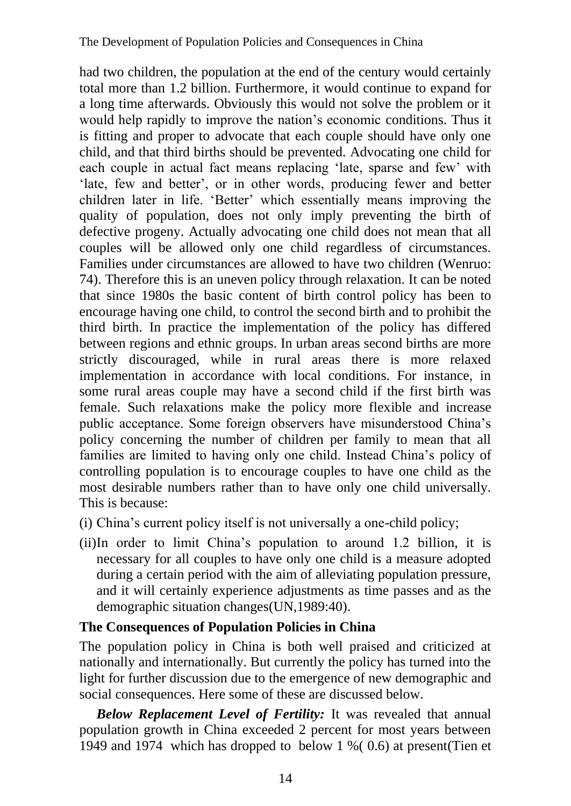had two children, the population at the end of the century would certainly total more than 1.2 billion. Furthermore, it would continue to expand for a long time afterwards. Obviously this would not solve the problem or it would help rapidly to improve the nation"s economic conditions. Thus it is fitting and proper to advocate that each couple should have only one child, and that third births should be prevented. Advocating one child for each couple in actual fact means replacing 'late, sparse and few' with 'late, few and better', or in other words, producing fewer and better children later in life. "Better" which essentially means improving the quality of population, does not only imply preventing the birth of defective progeny. Actually advocating one child does not mean that all couples will be allowed only one child regardless of circumstances. Families under circumstances are allowed to have two children (Wenruo: 74). Therefore this is an uneven policy through relaxation. It can be noted that since 1980s the basic content of birth control policy has been to encourage having one child, to control the second birth and to prohibit the third birth. In practice the implementation of the policy has differed between regions and ethnic groups. In urban areas second births are more strictly discouraged, while in rural areas there is more relaxed implementation in accordance with local conditions. For instance, in some rural areas couple may have a second child if the first birth was female. Such relaxations make the policy more flexible and increase public acceptance. Some foreign observers have misunderstood China"s policy concerning the number of children per family to mean that all families are limited to having only one child. Instead China"s policy of controlling population is to encourage couples to have one child as the most desirable numbers rather than to have only one child universally. This is because:

- (i) China"s current policy itself is not universally a one-child policy;
- (ii)In order to limit China"s population to around 1.2 billion, it is necessary for all couples to have only one child is a measure adopted during a certain period with the aim of alleviating population pressure, and it will certainly experience adjustments as time passes and as the demographic situation changes(UN,1989:40).

#### **The Consequences of Population Policies in China**

The population policy in China is both well praised and criticized at nationally and internationally. But currently the policy has turned into the light for further discussion due to the emergence of new demographic and social consequences. Here some of these are discussed below.

*Below Replacement Level of Fertility:* It was revealed that annual population growth in China exceeded 2 percent for most years between 1949 and 1974 which has dropped to below 1 %( 0.6) at present(Tien et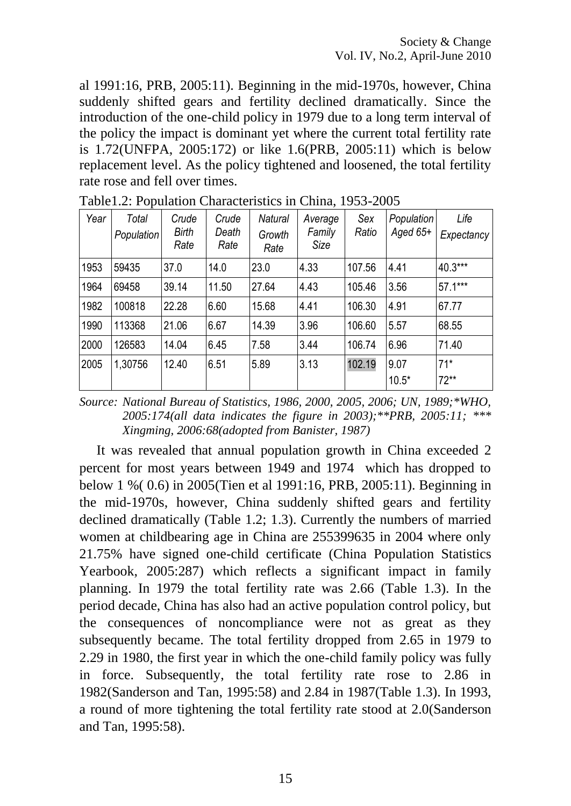al 1991:16, PRB, 2005:11). Beginning in the mid-1970s, however, China suddenly shifted gears and fertility declined dramatically. Since the introduction of the one-child policy in 1979 due to a long term interval of the policy the impact is dominant yet where the current total fertility rate is 1.72(UNFPA, 2005:172) or like 1.6(PRB, 2005:11) which is below replacement level. As the policy tightened and loosened, the total fertility rate rose and fell over times.

| Year | Total<br>Population | Crude<br>Birth<br>Rate | Crude<br>Death<br>Rate | <b>Natural</b><br>Growth<br>Rate | Average<br>Family<br>Size | Sex<br>Ratio | <b>Population</b><br>Aged $65+$ | Life<br>Expectancy |
|------|---------------------|------------------------|------------------------|----------------------------------|---------------------------|--------------|---------------------------------|--------------------|
| 1953 | 59435               | 37.0                   | 14.0                   | 23.0                             | 4.33                      | 107.56       | 4.41                            | 40.3***            |
| 1964 | 69458               | 39.14                  | 11.50                  | 27.64                            | 4.43                      | 105.46       | 3.56                            | $57.1***$          |
| 1982 | 100818              | 22.28                  | 6.60                   | 15.68                            | 4.41                      | 106.30       | 4.91                            | 67.77              |
| 1990 | 113368              | 21.06                  | 6.67                   | 14.39                            | 3.96                      | 106.60       | 5.57                            | 68.55              |
| 2000 | 126583              | 14.04                  | 6.45                   | 7.58                             | 3.44                      | 106.74       | 6.96                            | 71.40              |
| 2005 | 1,30756             | 12.40                  | 6.51                   | 5.89                             | 3.13                      | 102.19       | 9.07<br>$10.5*$                 | $71*$<br>$72**$    |

Table1.2: Population Characteristics in China, 1953-2005

*Source: National Bureau of Statistics, 1986, 2000, 2005, 2006; UN, 1989;\*WHO, 2005:174(all data indicates the figure in 2003);\*\*PRB, 2005:11; \*\*\* Xingming, 2006:68(adopted from Banister, 1987)*

It was revealed that annual population growth in China exceeded 2 percent for most years between 1949 and 1974 which has dropped to below 1 %( 0.6) in 2005(Tien et al 1991:16, PRB, 2005:11). Beginning in the mid-1970s, however, China suddenly shifted gears and fertility declined dramatically (Table 1.2; 1.3). Currently the numbers of married women at childbearing age in China are 255399635 in 2004 where only 21.75% have signed one-child certificate (China Population Statistics Yearbook, 2005:287) which reflects a significant impact in family planning. In 1979 the total fertility rate was 2.66 (Table 1.3). In the period decade, China has also had an active population control policy, but the consequences of noncompliance were not as great as they subsequently became. The total fertility dropped from 2.65 in 1979 to 2.29 in 1980, the first year in which the one-child family policy was fully in force. Subsequently, the total fertility rate rose to 2.86 in 1982(Sanderson and Tan, 1995:58) and 2.84 in 1987(Table 1.3). In 1993, a round of more tightening the total fertility rate stood at 2.0(Sanderson and Tan, 1995:58).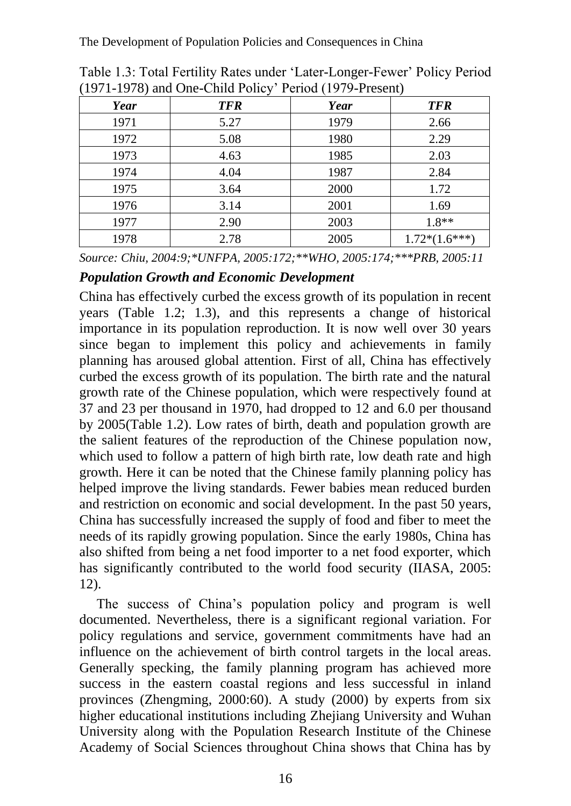The Development of Population Policies and Consequences in China

| $1771$ $1770$ and $0.00$ $0.000$ $0.000$ $0.000$ $0.000$ $0.000$ $0.000$ |            |      |                 |  |  |  |
|--------------------------------------------------------------------------|------------|------|-----------------|--|--|--|
| Year                                                                     | <b>TFR</b> | Year | <b>TFR</b>      |  |  |  |
| 1971                                                                     | 5.27       | 1979 | 2.66            |  |  |  |
| 1972                                                                     | 5.08       | 1980 | 2.29            |  |  |  |
| 1973                                                                     | 4.63       | 1985 | 2.03            |  |  |  |
| 1974                                                                     | 4.04       | 1987 | 2.84            |  |  |  |
| 1975                                                                     | 3.64       | 2000 | 1.72            |  |  |  |
| 1976                                                                     | 3.14       | 2001 | 1.69            |  |  |  |
| 1977                                                                     | 2.90       | 2003 | $1.8**$         |  |  |  |
| 1978                                                                     | 2.78       | 2005 | $1.72*(1.6***)$ |  |  |  |

Table 1.3: Total Fertility Rates under "Later-Longer-Fewer" Policy Period (1971-1978) and One-Child Policy" Period (1979-Present)

*Source: Chiu, 2004:9;\*UNFPA, 2005:172;\*\*WHO, 2005:174;\*\*\*PRB, 2005:11*

#### *Population Growth and Economic Development*

China has effectively curbed the excess growth of its population in recent years (Table 1.2; 1.3), and this represents a change of historical importance in its population reproduction. It is now well over 30 years since began to implement this policy and achievements in family planning has aroused global attention. First of all, China has effectively curbed the excess growth of its population. The birth rate and the natural growth rate of the Chinese population, which were respectively found at 37 and 23 per thousand in 1970, had dropped to 12 and 6.0 per thousand by 2005(Table 1.2). Low rates of birth, death and population growth are the salient features of the reproduction of the Chinese population now, which used to follow a pattern of high birth rate, low death rate and high growth. Here it can be noted that the Chinese family planning policy has helped improve the living standards. Fewer babies mean reduced burden and restriction on economic and social development. In the past 50 years, China has successfully increased the supply of food and fiber to meet the needs of its rapidly growing population. Since the early 1980s, China has also shifted from being a net food importer to a net food exporter, which has significantly contributed to the world food security (IIASA, 2005: 12).

The success of China"s population policy and program is well documented. Nevertheless, there is a significant regional variation. For policy regulations and service, government commitments have had an influence on the achievement of birth control targets in the local areas. Generally specking, the family planning program has achieved more success in the eastern coastal regions and less successful in inland provinces (Zhengming, 2000:60). A study (2000) by experts from six higher educational institutions including Zhejiang University and Wuhan University along with the Population Research Institute of the Chinese Academy of Social Sciences throughout China shows that China has by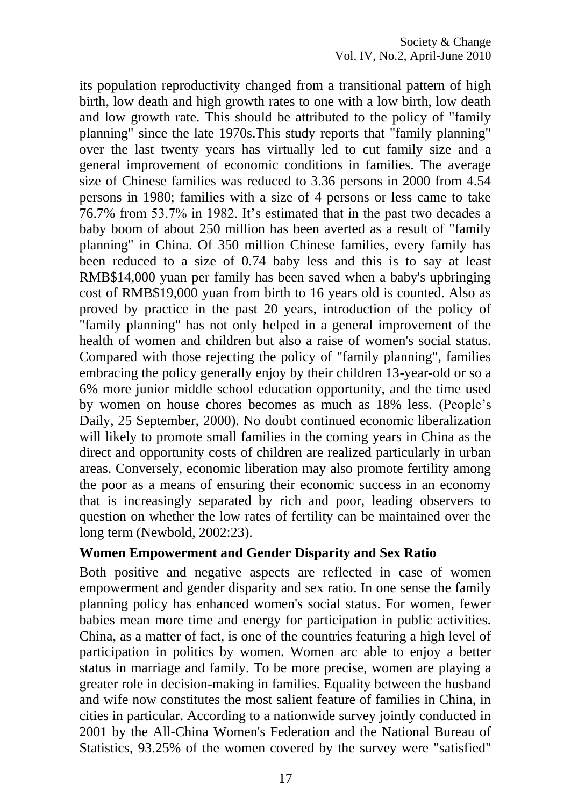its population reproductivity changed from a transitional pattern of high birth, low death and high growth rates to one with a low birth, low death and low growth rate. This should be attributed to the policy of "family planning" since the late 1970s.This study reports that "family planning" over the last twenty years has virtually led to cut family size and a general improvement of economic conditions in families. The average size of Chinese families was reduced to 3.36 persons in 2000 from 4.54 persons in 1980; families with a size of 4 persons or less came to take 76.7% from 53.7% in 1982. It"s estimated that in the past two decades a baby boom of about 250 million has been averted as a result of "family planning" in China. Of 350 million Chinese families, every family has been reduced to a size of 0.74 baby less and this is to say at least RMB\$14,000 yuan per family has been saved when a baby's upbringing cost of RMB\$19,000 yuan from birth to 16 years old is counted. Also as proved by practice in the past 20 years, introduction of the policy of "family planning" has not only helped in a general improvement of the health of women and children but also a raise of women's social status. Compared with those rejecting the policy of "family planning", families embracing the policy generally enjoy by their children 13-year-old or so a 6% more junior middle school education opportunity, and the time used by women on house chores becomes as much as 18% less. (People"s Daily, 25 September, 2000). No doubt continued economic liberalization will likely to promote small families in the coming years in China as the direct and opportunity costs of children are realized particularly in urban areas. Conversely, economic liberation may also promote fertility among the poor as a means of ensuring their economic success in an economy that is increasingly separated by rich and poor, leading observers to question on whether the low rates of fertility can be maintained over the long term (Newbold, 2002:23).

#### **Women Empowerment and Gender Disparity and Sex Ratio**

Both positive and negative aspects are reflected in case of women empowerment and gender disparity and sex ratio. In one sense the family planning policy has enhanced women's social status. For women, fewer babies mean more time and energy for participation in public activities. China, as a matter of fact, is one of the countries featuring a high level of participation in politics by women. Women arc able to enjoy a better status in marriage and family. To be more precise, women are playing a greater role in decision-making in families. Equality between the husband and wife now constitutes the most salient feature of families in China, in cities in particular. According to a nationwide survey jointly conducted in 2001 by the All-China Women's Federation and the National Bureau of Statistics, 93.25% of the women covered by the survey were "satisfied"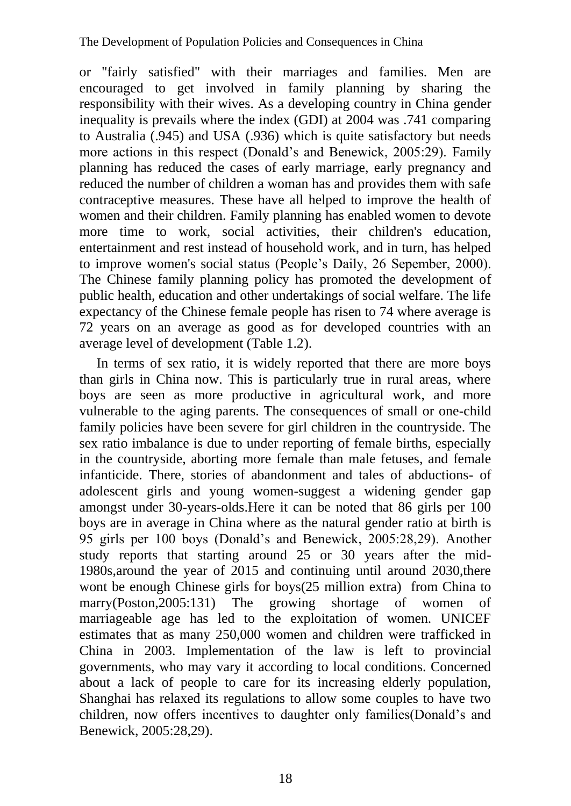or "fairly satisfied" with their marriages and families. Men are encouraged to get involved in family planning by sharing the responsibility with their wives. As a developing country in China gender inequality is prevails where the index (GDI) at 2004 was .741 comparing to Australia (.945) and USA (.936) which is quite satisfactory but needs more actions in this respect (Donald"s and Benewick, 2005:29). Family planning has reduced the cases of early marriage, early pregnancy and reduced the number of children a woman has and provides them with safe contraceptive measures. These have all helped to improve the health of women and their children. Family planning has enabled women to devote more time to work, social activities, their children's education, entertainment and rest instead of household work, and in turn, has helped to improve women's social status (People"s Daily, 26 Sepember, 2000). The Chinese family planning policy has promoted the development of public health, education and other undertakings of social welfare. The life expectancy of the Chinese female people has risen to 74 where average is 72 years on an average as good as for developed countries with an average level of development (Table 1.2).

In terms of sex ratio, it is widely reported that there are more boys than girls in China now. This is particularly true in rural areas, where boys are seen as more productive in agricultural work, and more vulnerable to the aging parents. The consequences of small or one-child family policies have been severe for girl children in the countryside. The sex ratio imbalance is due to under reporting of female births, especially in the countryside, aborting more female than male fetuses, and female infanticide. There, stories of abandonment and tales of abductions- of adolescent girls and young women-suggest a widening gender gap amongst under 30-years-olds.Here it can be noted that 86 girls per 100 boys are in average in China where as the natural gender ratio at birth is 95 girls per 100 boys (Donald"s and Benewick, 2005:28,29). Another study reports that starting around 25 or 30 years after the mid-1980s,around the year of 2015 and continuing until around 2030,there wont be enough Chinese girls for boys(25 million extra) from China to marry(Poston,2005:131) The growing shortage of women of marriageable age has led to the exploitation of women. UNICEF estimates that as many 250,000 women and children were trafficked in China in 2003. Implementation of the law is left to provincial governments, who may vary it according to local conditions. Concerned about a lack of people to care for its increasing elderly population, Shanghai has relaxed its regulations to allow some couples to have two children, now offers incentives to daughter only families(Donald"s and Benewick, 2005:28,29).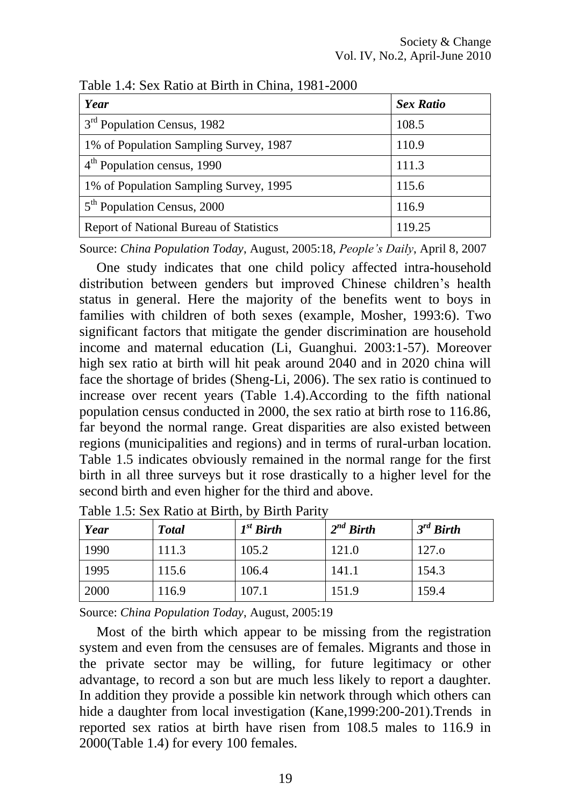| Year                                           | <b>Sex Ratio</b> |
|------------------------------------------------|------------------|
| 3 <sup>rd</sup> Population Census, 1982        | 108.5            |
| 1% of Population Sampling Survey, 1987         | 110.9            |
| 4 <sup>th</sup> Population census, 1990        | 111.3            |
| 1% of Population Sampling Survey, 1995         | 115.6            |
| 5 <sup>th</sup> Population Census, 2000        | 116.9            |
| <b>Report of National Bureau of Statistics</b> | 119.25           |

Table 1.4: Sex Ratio at Birth in China, 1981-2000

Source: *China Population Today*, August, 2005:18, *People"s Daily*, April 8, 2007

One study indicates that one child policy affected intra-household distribution between genders but improved Chinese children"s health status in general. Here the majority of the benefits went to boys in families with children of both sexes (example, Mosher, 1993:6). Two significant factors that mitigate the gender discrimination are household income and maternal education (Li, Guanghui. 2003:1-57). Moreover high sex ratio at birth will hit peak around 2040 and in 2020 china will face the shortage of brides (Sheng-Li, 2006). The sex ratio is continued to increase over recent years (Table 1.4).According to the fifth national population census conducted in 2000, the sex ratio at birth rose to 116.86, far beyond the normal range. Great disparities are also existed between regions (municipalities and regions) and in terms of rural-urban location. Table 1.5 indicates obviously remained in the normal range for the first birth in all three surveys but it rose drastically to a higher level for the second birth and even higher for the third and above.

| Year | <b>Total</b> | $I^{st}$ Birth | $2^{nd}$ Birth | $3^{rd}$ Birth |
|------|--------------|----------------|----------------|----------------|
| 1990 | 111.3        | 105.2          | 121.0          | 127.o          |
| 1995 | 115.6        | 106.4          | 141.1          | 154.3          |
| 2000 | 116.9        | 107.1          | 151.9          | 159.4          |

Table 1.5: Sex Ratio at Birth, by Birth Parity

Source: *China Population Today*, August, 2005:19

Most of the birth which appear to be missing from the registration system and even from the censuses are of females. Migrants and those in the private sector may be willing, for future legitimacy or other advantage, to record a son but are much less likely to report a daughter. In addition they provide a possible kin network through which others can hide a daughter from local investigation (Kane,1999:200-201).Trends in reported sex ratios at birth have risen from 108.5 males to 116.9 in 2000(Table 1.4) for every 100 females.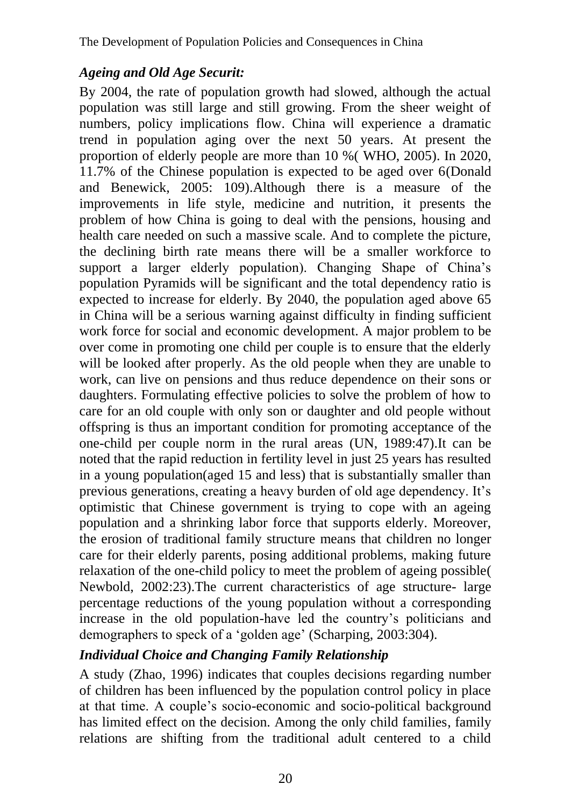### *Ageing and Old Age Securit:*

By 2004, the rate of population growth had slowed, although the actual population was still large and still growing. From the sheer weight of numbers, policy implications flow. China will experience a dramatic trend in population aging over the next 50 years. At present the proportion of elderly people are more than 10 %( WHO, 2005). In 2020, 11.7% of the Chinese population is expected to be aged over 6(Donald and Benewick, 2005: 109).Although there is a measure of the improvements in life style, medicine and nutrition, it presents the problem of how China is going to deal with the pensions, housing and health care needed on such a massive scale. And to complete the picture, the declining birth rate means there will be a smaller workforce to support a larger elderly population). Changing Shape of China's population Pyramids will be significant and the total dependency ratio is expected to increase for elderly. By 2040, the population aged above 65 in China will be a serious warning against difficulty in finding sufficient work force for social and economic development. A major problem to be over come in promoting one child per couple is to ensure that the elderly will be looked after properly. As the old people when they are unable to work, can live on pensions and thus reduce dependence on their sons or daughters. Formulating effective policies to solve the problem of how to care for an old couple with only son or daughter and old people without offspring is thus an important condition for promoting acceptance of the one-child per couple norm in the rural areas (UN, 1989:47).It can be noted that the rapid reduction in fertility level in just 25 years has resulted in a young population(aged 15 and less) that is substantially smaller than previous generations, creating a heavy burden of old age dependency. It's optimistic that Chinese government is trying to cope with an ageing population and a shrinking labor force that supports elderly. Moreover, the erosion of traditional family structure means that children no longer care for their elderly parents, posing additional problems, making future relaxation of the one-child policy to meet the problem of ageing possible( Newbold, 2002:23).The current characteristics of age structure- large percentage reductions of the young population without a corresponding increase in the old population-have led the country"s politicians and demographers to speck of a 'golden age' (Scharping, 2003:304).

#### *Individual Choice and Changing Family Relationship*

A study (Zhao, 1996) indicates that couples decisions regarding number of children has been influenced by the population control policy in place at that time. A couple"s socio-economic and socio-political background has limited effect on the decision. Among the only child families, family relations are shifting from the traditional adult centered to a child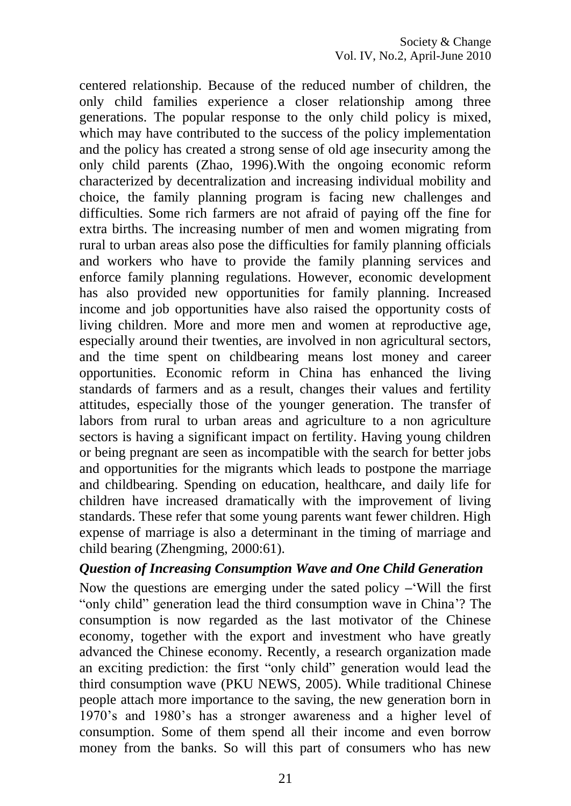centered relationship. Because of the reduced number of children, the only child families experience a closer relationship among three generations. The popular response to the only child policy is mixed, which may have contributed to the success of the policy implementation and the policy has created a strong sense of old age insecurity among the only child parents (Zhao, 1996).With the ongoing economic reform characterized by decentralization and increasing individual mobility and choice, the family planning program is facing new challenges and difficulties. Some rich farmers are not afraid of paying off the fine for extra births. The increasing number of men and women migrating from rural to urban areas also pose the difficulties for family planning officials and workers who have to provide the family planning services and enforce family planning regulations. However, economic development has also provided new opportunities for family planning. Increased income and job opportunities have also raised the opportunity costs of living children. More and more men and women at reproductive age, especially around their twenties, are involved in non agricultural sectors, and the time spent on childbearing means lost money and career opportunities. Economic reform in China has enhanced the living standards of farmers and as a result, changes their values and fertility attitudes, especially those of the younger generation. The transfer of labors from rural to urban areas and agriculture to a non agriculture sectors is having a significant impact on fertility. Having young children or being pregnant are seen as incompatible with the search for better jobs and opportunities for the migrants which leads to postpone the marriage and childbearing. Spending on education, healthcare, and daily life for children have increased dramatically with the improvement of living standards. These refer that some young parents want fewer children. High expense of marriage is also a determinant in the timing of marriage and child bearing (Zhengming, 2000:61).

#### *Question of Increasing Consumption Wave and One Child Generation*

Now the questions are emerging under the sated policy **–**"Will the first "only child" generation lead the third consumption wave in China"? The consumption is now regarded as the last motivator of the Chinese economy, together with the export and investment who have greatly advanced the Chinese economy. Recently, a research organization made an exciting prediction: the first "only child" generation would lead the third consumption wave (PKU NEWS, 2005). While traditional Chinese people attach more importance to the saving, the new generation born in 1970"s and 1980"s has a stronger awareness and a higher level of consumption. Some of them spend all their income and even borrow money from the banks. So will this part of consumers who has new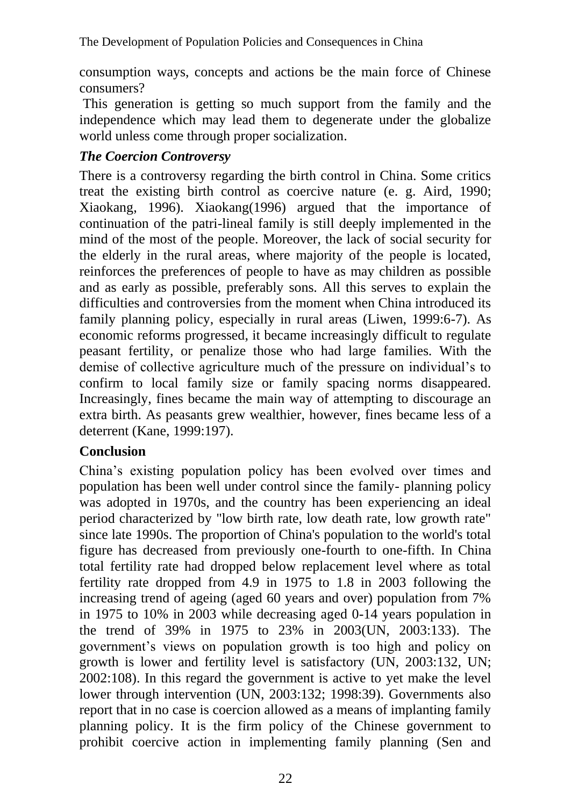consumption ways, concepts and actions be the main force of Chinese consumers?

This generation is getting so much support from the family and the independence which may lead them to degenerate under the globalize world unless come through proper socialization.

# *The Coercion Controversy*

There is a controversy regarding the birth control in China. Some critics treat the existing birth control as coercive nature (e. g. Aird, 1990; Xiaokang, 1996). Xiaokang(1996) argued that the importance of continuation of the patri-lineal family is still deeply implemented in the mind of the most of the people. Moreover, the lack of social security for the elderly in the rural areas, where majority of the people is located, reinforces the preferences of people to have as may children as possible and as early as possible, preferably sons. All this serves to explain the difficulties and controversies from the moment when China introduced its family planning policy, especially in rural areas (Liwen, 1999:6-7). As economic reforms progressed, it became increasingly difficult to regulate peasant fertility, or penalize those who had large families. With the demise of collective agriculture much of the pressure on individual's to confirm to local family size or family spacing norms disappeared. Increasingly, fines became the main way of attempting to discourage an extra birth. As peasants grew wealthier, however, fines became less of a deterrent (Kane, 1999:197).

# **Conclusion**

China"s existing population policy has been evolved over times and population has been well under control since the family- planning policy was adopted in 1970s, and the country has been experiencing an ideal period characterized by "low birth rate, low death rate, low growth rate" since late 1990s. The proportion of China's population to the world's total figure has decreased from previously one-fourth to one-fifth. In China total fertility rate had dropped below replacement level where as total fertility rate dropped from 4.9 in 1975 to 1.8 in 2003 following the increasing trend of ageing (aged 60 years and over) population from 7% in 1975 to 10% in 2003 while decreasing aged 0-14 years population in the trend of 39% in 1975 to 23% in 2003(UN, 2003:133). The government"s views on population growth is too high and policy on growth is lower and fertility level is satisfactory (UN, 2003:132, UN; 2002:108). In this regard the government is active to yet make the level lower through intervention (UN, 2003:132; 1998:39). Governments also report that in no case is coercion allowed as a means of implanting family planning policy. It is the firm policy of the Chinese government to prohibit coercive action in implementing family planning (Sen and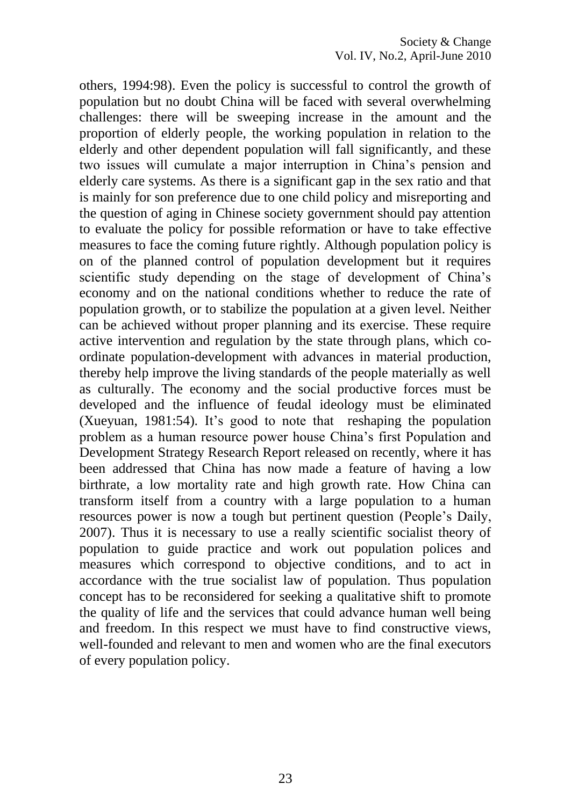others, 1994:98). Even the policy is successful to control the growth of population but no doubt China will be faced with several overwhelming challenges: there will be sweeping increase in the amount and the proportion of elderly people, the working population in relation to the elderly and other dependent population will fall significantly, and these two issues will cumulate a major interruption in China"s pension and elderly care systems. As there is a significant gap in the sex ratio and that is mainly for son preference due to one child policy and misreporting and the question of aging in Chinese society government should pay attention to evaluate the policy for possible reformation or have to take effective measures to face the coming future rightly. Although population policy is on of the planned control of population development but it requires scientific study depending on the stage of development of China's economy and on the national conditions whether to reduce the rate of population growth, or to stabilize the population at a given level. Neither can be achieved without proper planning and its exercise. These require active intervention and regulation by the state through plans, which coordinate population-development with advances in material production, thereby help improve the living standards of the people materially as well as culturally. The economy and the social productive forces must be developed and the influence of feudal ideology must be eliminated (Xueyuan, 1981:54). It's good to note that reshaping the population problem as a human resource power house China"s first Population and Development Strategy Research Report released on recently, where it has been addressed that China has now made a feature of having a low birthrate, a low mortality rate and high growth rate. How China can transform itself from a country with a large population to a human resources power is now a tough but pertinent question (People"s Daily, 2007). Thus it is necessary to use a really scientific socialist theory of population to guide practice and work out population polices and measures which correspond to objective conditions, and to act in accordance with the true socialist law of population. Thus population concept has to be reconsidered for seeking a qualitative shift to promote the quality of life and the services that could advance human well being and freedom. In this respect we must have to find constructive views, well-founded and relevant to men and women who are the final executors of every population policy.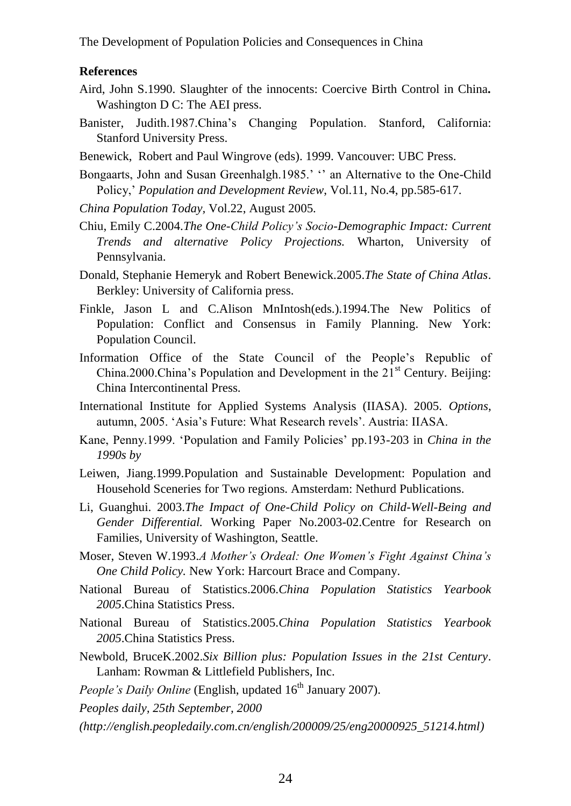The Development of Population Policies and Consequences in China

#### **References**

- Aird, John S.1990. Slaughter of the innocents: Coercive Birth Control in China*.* Washington D C: The AEI press.
- Banister, Judith.1987.China"s Changing Population. Stanford, California: Stanford University Press.
- Benewick, Robert and Paul Wingrove (eds). 1999. Vancouver: UBC Press.
- Bongaarts, John and Susan Greenhalgh.1985.' " an Alternative to the One-Child Policy," *Population and Development Review*, Vol.11, No.4, pp.585-617.
- *China Population Today,* Vol.22, August 2005*.*
- Chiu, Emily C.2004.*The One-Child Policy"s Socio-Demographic Impact: Current Trends and alternative Policy Projections.* Wharton, University of Pennsylvania.
- Donald, Stephanie Hemeryk and Robert Benewick.2005.*The State of China Atlas*. Berkley: University of California press.
- Finkle, Jason L and C.Alison MnIntosh(eds.).1994.The New Politics of Population: Conflict and Consensus in Family Planning. New York: Population Council.
- Information Office of the State Council of the People"s Republic of China.2000.China's Population and Development in the  $21<sup>st</sup>$  Century. Beijing: China Intercontinental Press.
- International Institute for Applied Systems Analysis (IIASA). 2005. *Options*, autumn, 2005. "Asia"s Future: What Research revels". Austria: IIASA.
- Kane, Penny.1999. "Population and Family Policies" pp.193-203 in *China in the 1990s by*
- Leiwen, Jiang.1999.Population and Sustainable Development: Population and Household Sceneries for Two regions. Amsterdam: Nethurd Publications.
- Li, Guanghui. 2003.*The Impact of One-Child Policy on Child-Well-Being and Gender Differential.* Working Paper No.2003-02.Centre for Research on Families, University of Washington, Seattle.
- Moser, Steven W.1993.*A Mother"s Ordeal: One Women"s Fight Against China"s One Child Policy.* New York: Harcourt Brace and Company.
- National Bureau of Statistics.2006.*China Population Statistics Yearbook 2005*.China Statistics Press.
- National Bureau of Statistics.2005.*China Population Statistics Yearbook 2005*.China Statistics Press.
- Newbold, BruceK.2002.*Six Billion plus: Population Issues in the 21st Century*. Lanham: Rowman & Littlefield Publishers, Inc.
- *People's Daily Online* (English, updated  $16<sup>th</sup>$  January 2007).

*Peoples daily, 25th September, 2000*

*(http://english.peopledaily.com.cn/english/200009/25/eng20000925\_51214.html)*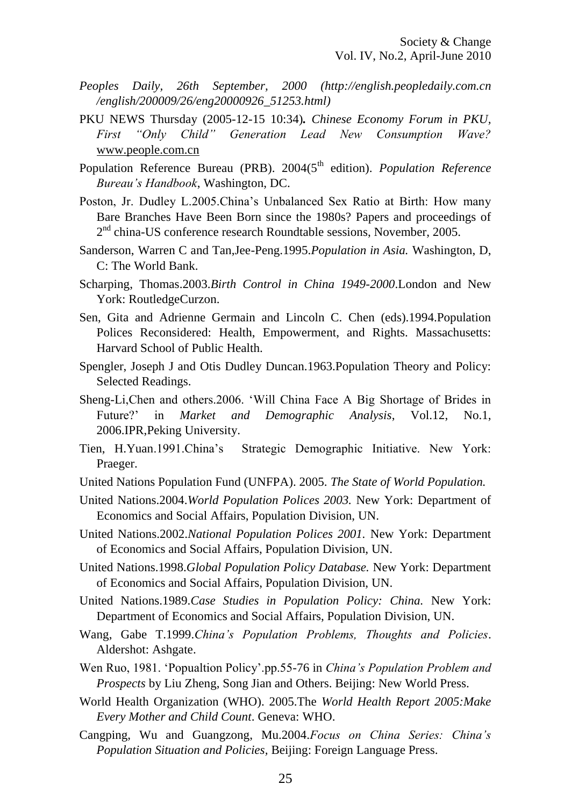- *Peoples Daily, 26th September, 2000 (http://english.peopledaily.com.cn /english/200009/26/eng20000926\_51253.html)*
- PKU NEWS Thursday (2005-12-15 10:34)*. Chinese Economy Forum in PKU, First "Only Child" Generation Lead New Consumption Wave?* www.people.com.cn
- Population Reference Bureau (PRB). 2004(5<sup>th</sup> edition). *Population Reference Bureau"s Handbook*, Washington, DC.
- Poston, Jr. Dudley L.2005.China"s Unbalanced Sex Ratio at Birth: How many Bare Branches Have Been Born since the 1980s? Papers and proceedings of 2<sup>nd</sup> china-US conference research Roundtable sessions, November, 2005.
- Sanderson, Warren C and Tan,Jee-Peng.1995.*Population in Asia.* Washington, D, C: The World Bank.
- Scharping, Thomas.2003.*Birth Control in China 1949-2000*.London and New York: RoutledgeCurzon.
- Sen, Gita and Adrienne Germain and Lincoln C. Chen (eds).1994.Population Polices Reconsidered: Health, Empowerment, and Rights. Massachusetts: Harvard School of Public Health.
- Spengler, Joseph J and Otis Dudley Duncan.1963.Population Theory and Policy: Selected Readings.
- Sheng-Li,Chen and others.2006. "Will China Face A Big Shortage of Brides in Future?" in *Market and Demographic Analysis*, Vol.12, No.1, 2006.IPR,Peking University.
- Tien, H.Yuan.1991.China"s Strategic Demographic Initiative. New York: Praeger.
- United Nations Population Fund (UNFPA). 2005. *The State of World Population.*
- United Nations.2004.*World Population Polices 2003.* New York: Department of Economics and Social Affairs, Population Division, UN.
- United Nations.2002.*National Population Polices 2001.* New York: Department of Economics and Social Affairs, Population Division, UN.
- United Nations.1998.*Global Population Policy Database.* New York: Department of Economics and Social Affairs, Population Division, UN.
- United Nations.1989.*Case Studies in Population Policy: China.* New York: Department of Economics and Social Affairs, Population Division, UN.
- Wang, Gabe T.1999.*China"s Population Problems, Thoughts and Policies*. Aldershot: Ashgate.
- Wen Ruo, 1981. "Popualtion Policy".pp.55-76 in *China"s Population Problem and Prospects* by Liu Zheng, Song Jian and Others. Beijing: New World Press.
- World Health Organization (WHO). 2005.The *World Health Report 2005:Make Every Mother and Child Count*. Geneva: WHO.
- Cangping, Wu and Guangzong, Mu.2004.*Focus on China Series: China"s Population Situation and Policies,* Beijing: Foreign Language Press.